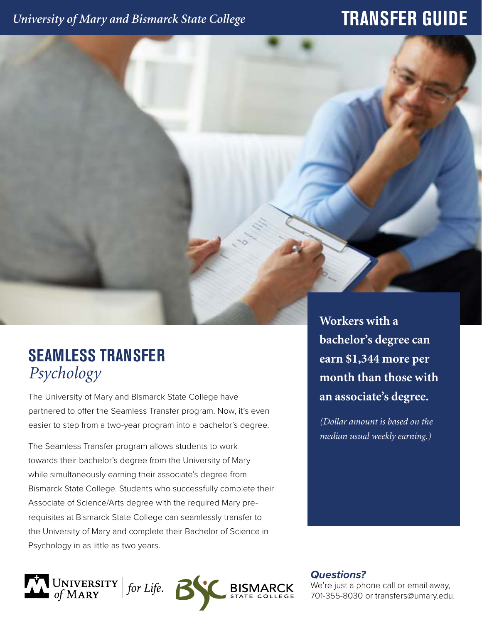## *University of Mary and Bismarck State College*

## **TRANSFER GUIDE**

## **SEAMLESS TRANSFER** *Psychology*

The University of Mary and Bismarck State College have partnered to offer the Seamless Transfer program. Now, it's even easier to step from a two-year program into a bachelor's degree.

The Seamless Transfer program allows students to work towards their bachelor's degree from the University of Mary while simultaneously earning their associate's degree from Bismarck State College. Students who successfully complete their Associate of Science/Arts degree with the required Mary prerequisites at Bismarck State College can seamlessly transfer to the University of Mary and complete their Bachelor of Science in Psychology in as little as two years.

**Workers with a bachelor's degree can earn \$1,344 more per month than those with an associate's degree.** 

*(Dollar amount is based on the median usual weekly earning.)*

UNIVERSITY *for Life.* *Questions?*

We're just a phone call or email away, 701-355-8030 or transfers@umary.edu.